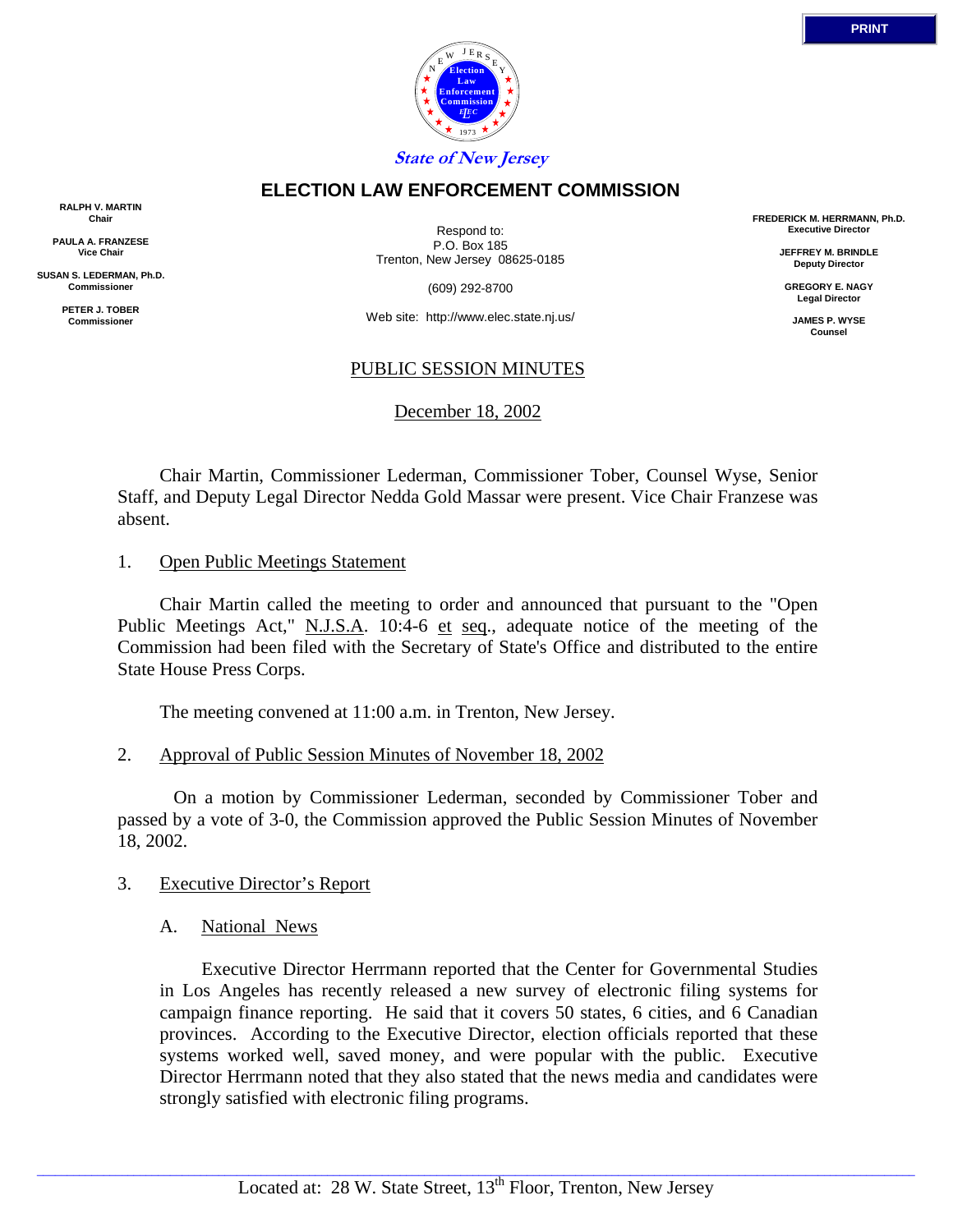

## **ELECTION LAW ENFORCEMENT COMMISSION**

**RALPH V. MARTIN Chair**

**PAULA A. FRANZESE Vice Chair**

**SUSAN S. LEDERMAN, Ph.D. Commissioner**

> **PETER J. TOBER Commissioner**

Respond to: P.O. Box 185 Trenton, New Jersey 08625-0185

(609) 292-8700

Web site: http://www.elec.state.nj.us/

# PUBLIC SESSION MINUTES

December 18, 2002

 Chair Martin, Commissioner Lederman, Commissioner Tober, Counsel Wyse, Senior Staff, and Deputy Legal Director Nedda Gold Massar were present. Vice Chair Franzese was absent.

1. Open Public Meetings Statement

 Chair Martin called the meeting to order and announced that pursuant to the "Open Public Meetings Act," N.J.S.A. 10:4-6 et seq., adequate notice of the meeting of the Commission had been filed with the Secretary of State's Office and distributed to the entire State House Press Corps.

The meeting convened at 11:00 a.m. in Trenton, New Jersey.

2. Approval of Public Session Minutes of November 18, 2002

 On a motion by Commissioner Lederman, seconded by Commissioner Tober and passed by a vote of 3-0, the Commission approved the Public Session Minutes of November 18, 2002.

- 3. Executive Director's Report
	- A. National News

Executive Director Herrmann reported that the Center for Governmental Studies in Los Angeles has recently released a new survey of electronic filing systems for campaign finance reporting. He said that it covers 50 states, 6 cities, and 6 Canadian provinces. According to the Executive Director, election officials reported that these systems worked well, saved money, and were popular with the public. Executive Director Herrmann noted that they also stated that the news media and candidates were strongly satisfied with electronic filing programs.

 $\_$  ,  $\_$  ,  $\_$  ,  $\_$  ,  $\_$  ,  $\_$  ,  $\_$  ,  $\_$  ,  $\_$  ,  $\_$  ,  $\_$  ,  $\_$  ,  $\_$  ,  $\_$  ,  $\_$  ,  $\_$  ,  $\_$  ,  $\_$  ,  $\_$  ,  $\_$  ,  $\_$  ,  $\_$  ,  $\_$  ,  $\_$  ,  $\_$  ,  $\_$  ,  $\_$  ,  $\_$  ,  $\_$  ,  $\_$  ,  $\_$  ,  $\_$  ,  $\_$  ,  $\_$  ,  $\_$  ,  $\_$  ,  $\_$  ,

**FREDERICK M. HERRMANN, Ph.D. Executive Director**

> **JEFFREY M. BRINDLE Deputy Director**

**GREGORY E. NAGY Legal Director**

**JAMES P. WYSE Counsel**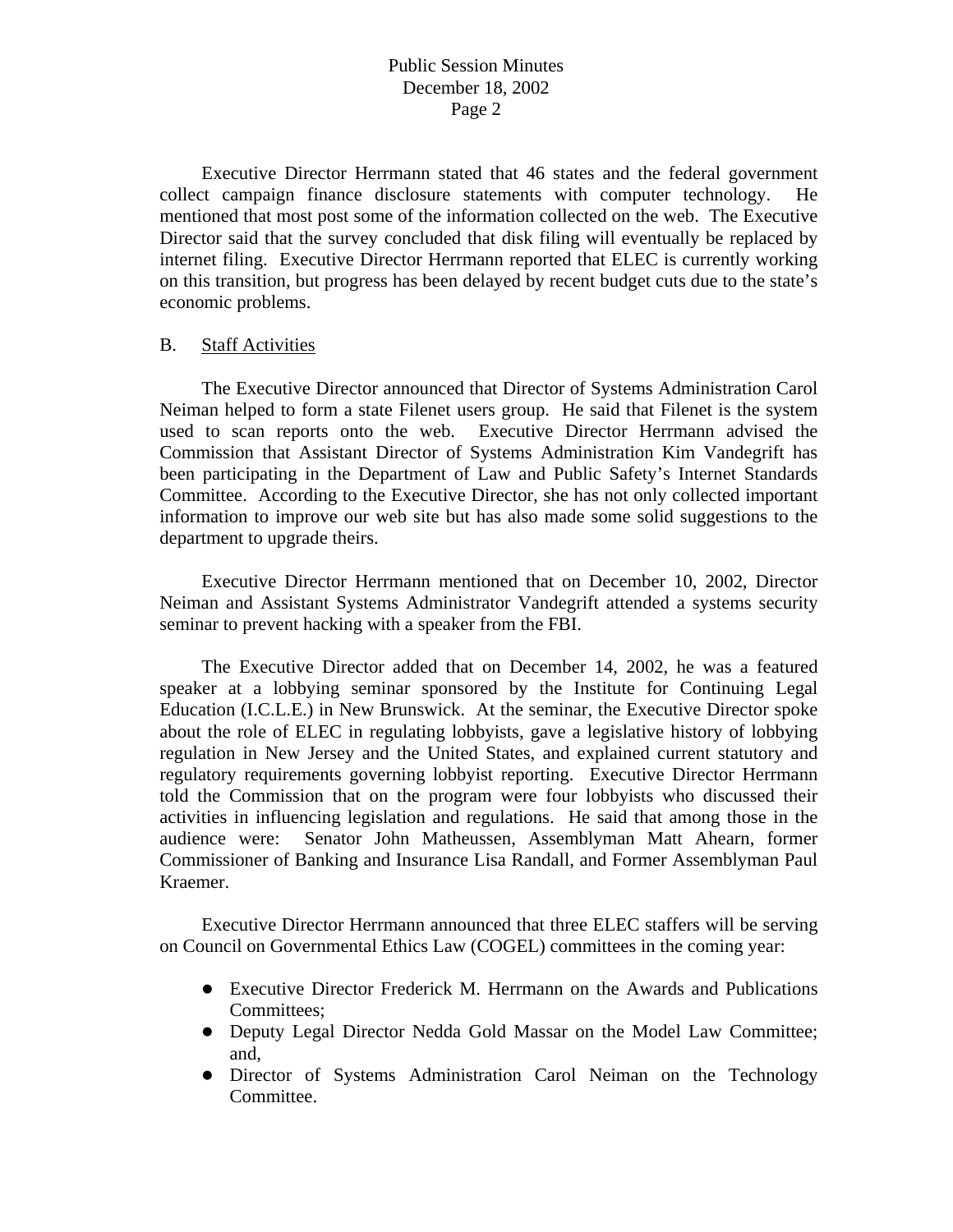Executive Director Herrmann stated that 46 states and the federal government collect campaign finance disclosure statements with computer technology. He mentioned that most post some of the information collected on the web. The Executive Director said that the survey concluded that disk filing will eventually be replaced by internet filing. Executive Director Herrmann reported that ELEC is currently working on this transition, but progress has been delayed by recent budget cuts due to the state's economic problems.

#### B. Staff Activities

 The Executive Director announced that Director of Systems Administration Carol Neiman helped to form a state Filenet users group. He said that Filenet is the system used to scan reports onto the web. Executive Director Herrmann advised the Commission that Assistant Director of Systems Administration Kim Vandegrift has been participating in the Department of Law and Public Safety's Internet Standards Committee. According to the Executive Director, she has not only collected important information to improve our web site but has also made some solid suggestions to the department to upgrade theirs.

 Executive Director Herrmann mentioned that on December 10, 2002, Director Neiman and Assistant Systems Administrator Vandegrift attended a systems security seminar to prevent hacking with a speaker from the FBI.

 The Executive Director added that on December 14, 2002, he was a featured speaker at a lobbying seminar sponsored by the Institute for Continuing Legal Education (I.C.L.E.) in New Brunswick. At the seminar, the Executive Director spoke about the role of ELEC in regulating lobbyists, gave a legislative history of lobbying regulation in New Jersey and the United States, and explained current statutory and regulatory requirements governing lobbyist reporting. Executive Director Herrmann told the Commission that on the program were four lobbyists who discussed their activities in influencing legislation and regulations. He said that among those in the audience were: Senator John Matheussen, Assemblyman Matt Ahearn, former Commissioner of Banking and Insurance Lisa Randall, and Former Assemblyman Paul Kraemer.

 Executive Director Herrmann announced that three ELEC staffers will be serving on Council on Governmental Ethics Law (COGEL) committees in the coming year:

- Executive Director Frederick M. Herrmann on the Awards and Publications Committees;
- Deputy Legal Director Nedda Gold Massar on the Model Law Committee; and,
- Director of Systems Administration Carol Neiman on the Technology Committee.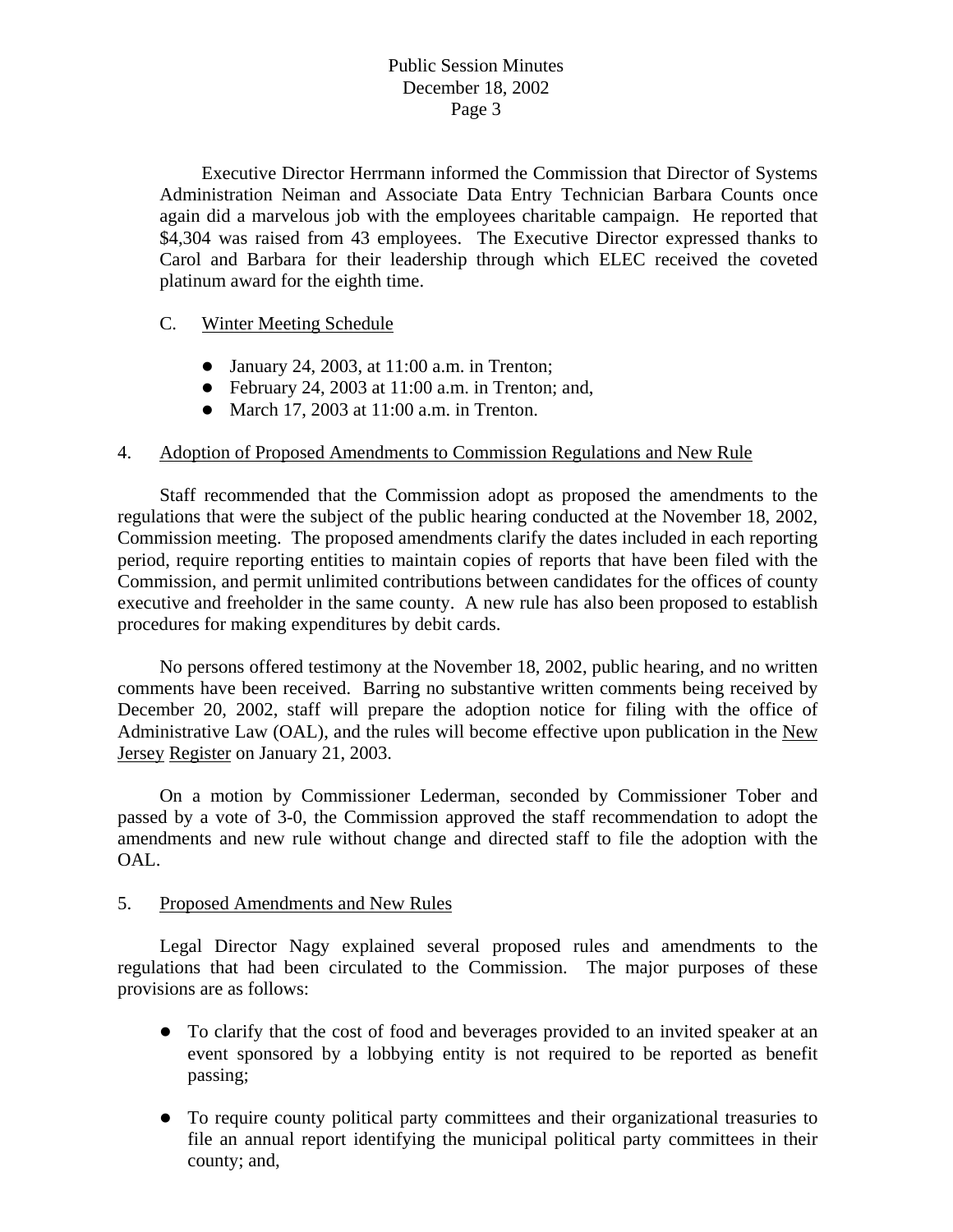Executive Director Herrmann informed the Commission that Director of Systems Administration Neiman and Associate Data Entry Technician Barbara Counts once again did a marvelous job with the employees charitable campaign. He reported that \$4,304 was raised from 43 employees. The Executive Director expressed thanks to Carol and Barbara for their leadership through which ELEC received the coveted platinum award for the eighth time.

# C. Winter Meeting Schedule

- January 24, 2003, at  $11:00$  a.m. in Trenton;
- $\bullet$  February 24, 2003 at 11:00 a.m. in Trenton; and,
- March 17, 2003 at  $11:00$  a.m. in Trenton.

## 4. Adoption of Proposed Amendments to Commission Regulations and New Rule

 Staff recommended that the Commission adopt as proposed the amendments to the regulations that were the subject of the public hearing conducted at the November 18, 2002, Commission meeting. The proposed amendments clarify the dates included in each reporting period, require reporting entities to maintain copies of reports that have been filed with the Commission, and permit unlimited contributions between candidates for the offices of county executive and freeholder in the same county. A new rule has also been proposed to establish procedures for making expenditures by debit cards.

 No persons offered testimony at the November 18, 2002, public hearing, and no written comments have been received. Barring no substantive written comments being received by December 20, 2002, staff will prepare the adoption notice for filing with the office of Administrative Law (OAL), and the rules will become effective upon publication in the New Jersey Register on January 21, 2003.

 On a motion by Commissioner Lederman, seconded by Commissioner Tober and passed by a vote of 3-0, the Commission approved the staff recommendation to adopt the amendments and new rule without change and directed staff to file the adoption with the OAL.

## 5. Proposed Amendments and New Rules

 Legal Director Nagy explained several proposed rules and amendments to the regulations that had been circulated to the Commission. The major purposes of these provisions are as follows:

- To clarify that the cost of food and beverages provided to an invited speaker at an event sponsored by a lobbying entity is not required to be reported as benefit passing;
- To require county political party committees and their organizational treasuries to file an annual report identifying the municipal political party committees in their county; and,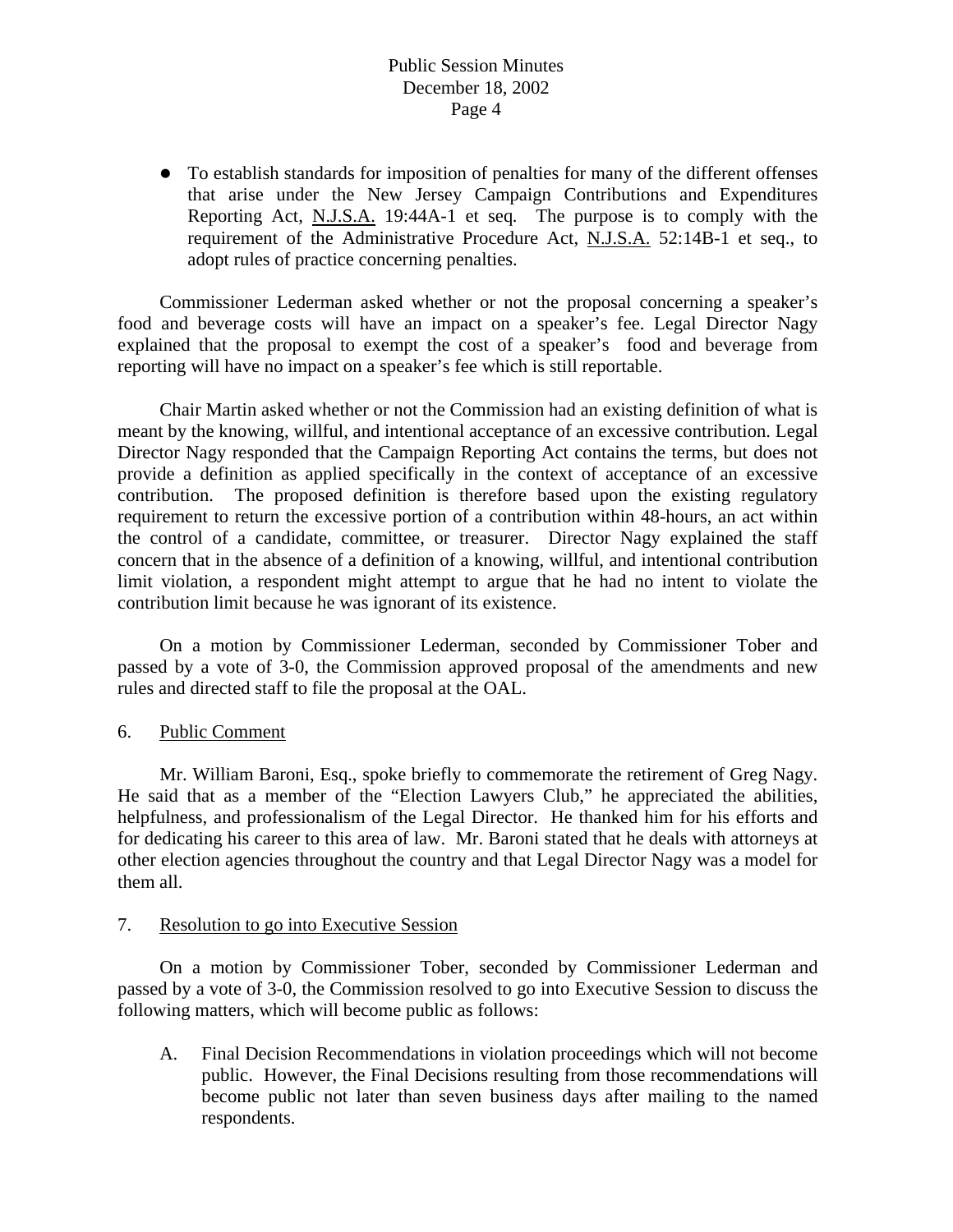• To establish standards for imposition of penalties for many of the different offenses that arise under the New Jersey Campaign Contributions and Expenditures Reporting Act, N.J.S.A. 19:44A-1 et seq*.* The purpose is to comply with the requirement of the Administrative Procedure Act, N.J.S.A. 52:14B-1 et seq., to adopt rules of practice concerning penalties.

 Commissioner Lederman asked whether or not the proposal concerning a speaker's food and beverage costs will have an impact on a speaker's fee. Legal Director Nagy explained that the proposal to exempt the cost of a speaker's food and beverage from reporting will have no impact on a speaker's fee which is still reportable.

 Chair Martin asked whether or not the Commission had an existing definition of what is meant by the knowing, willful, and intentional acceptance of an excessive contribution. Legal Director Nagy responded that the Campaign Reporting Act contains the terms, but does not provide a definition as applied specifically in the context of acceptance of an excessive contribution. The proposed definition is therefore based upon the existing regulatory requirement to return the excessive portion of a contribution within 48-hours, an act within the control of a candidate, committee, or treasurer. Director Nagy explained the staff concern that in the absence of a definition of a knowing, willful, and intentional contribution limit violation, a respondent might attempt to argue that he had no intent to violate the contribution limit because he was ignorant of its existence.

 On a motion by Commissioner Lederman, seconded by Commissioner Tober and passed by a vote of 3-0, the Commission approved proposal of the amendments and new rules and directed staff to file the proposal at the OAL.

#### 6. Public Comment

 Mr. William Baroni, Esq., spoke briefly to commemorate the retirement of Greg Nagy. He said that as a member of the "Election Lawyers Club," he appreciated the abilities, helpfulness, and professionalism of the Legal Director. He thanked him for his efforts and for dedicating his career to this area of law. Mr. Baroni stated that he deals with attorneys at other election agencies throughout the country and that Legal Director Nagy was a model for them all.

#### 7. Resolution to go into Executive Session

 On a motion by Commissioner Tober, seconded by Commissioner Lederman and passed by a vote of 3-0, the Commission resolved to go into Executive Session to discuss the following matters, which will become public as follows:

A. Final Decision Recommendations in violation proceedings which will not become public. However, the Final Decisions resulting from those recommendations will become public not later than seven business days after mailing to the named respondents.